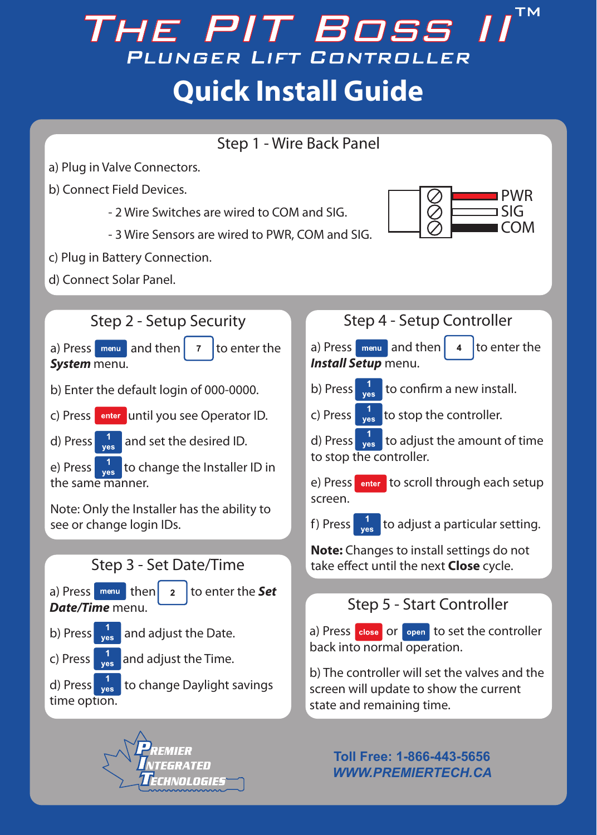## **TM** The PIT Boss II PLUNGER LIFT CONTROLLER **Quick Install Guide**





**Toll Free: 1-866-443-5656** *WWW.PREMIERTECH.CA*